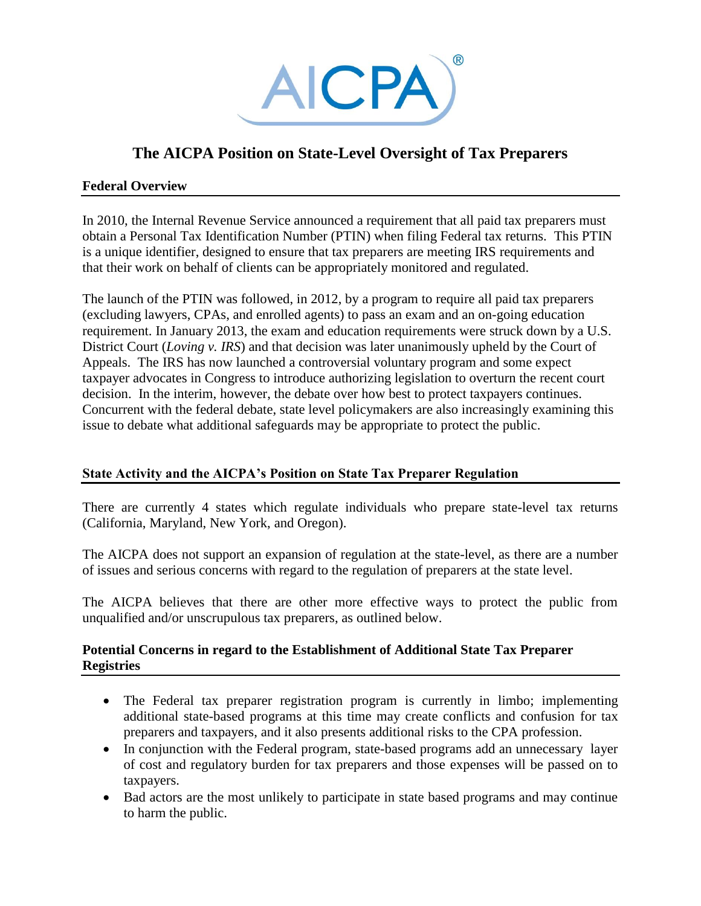

# **The AICPA Position on State-Level Oversight of Tax Preparers**

### **Federal Overview**

In 2010, the Internal Revenue Service announced a requirement that all paid tax preparers must obtain a Personal Tax Identification Number (PTIN) when filing Federal tax returns. This PTIN is a unique identifier, designed to ensure that tax preparers are meeting IRS requirements and that their work on behalf of clients can be appropriately monitored and regulated.

The launch of the PTIN was followed, in 2012, by a program to require all paid tax preparers (excluding lawyers, CPAs, and enrolled agents) to pass an exam and an on-going education requirement. In January 2013, the exam and education requirements were struck down by a U.S. District Court (*Loving v. IRS*) and that decision was later unanimously upheld by the Court of Appeals. The IRS has now launched a controversial voluntary program and some expect taxpayer advocates in Congress to introduce authorizing legislation to overturn the recent court decision. In the interim, however, the debate over how best to protect taxpayers continues. Concurrent with the federal debate, state level policymakers are also increasingly examining this issue to debate what additional safeguards may be appropriate to protect the public.

# **State Activity and the AICPA's Position on State Tax Preparer Regulation**

There are currently 4 states which regulate individuals who prepare state-level tax returns (California, Maryland, New York, and Oregon).

The AICPA does not support an expansion of regulation at the state-level, as there are a number of issues and serious concerns with regard to the regulation of preparers at the state level.

The AICPA believes that there are other more effective ways to protect the public from unqualified and/or unscrupulous tax preparers, as outlined below.

### **Potential Concerns in regard to the Establishment of Additional State Tax Preparer Registries**

- The Federal tax preparer registration program is currently in limbo; implementing additional state-based programs at this time may create conflicts and confusion for tax preparers and taxpayers, and it also presents additional risks to the CPA profession.
- In conjunction with the Federal program, state-based programs add an unnecessary layer of cost and regulatory burden for tax preparers and those expenses will be passed on to taxpayers.
- Bad actors are the most unlikely to participate in state based programs and may continue to harm the public.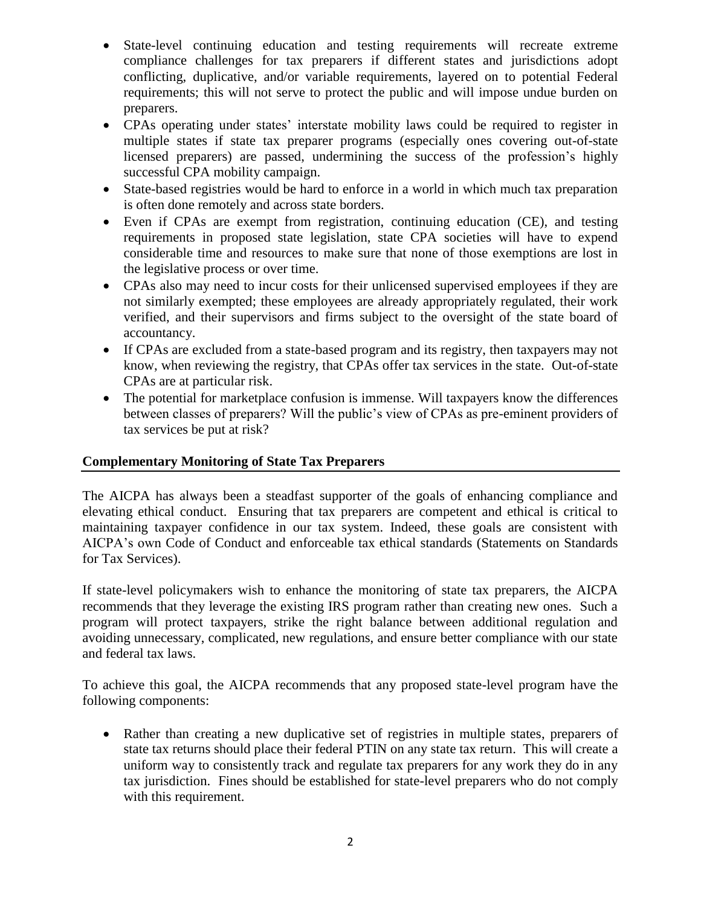- State-level continuing education and testing requirements will recreate extreme compliance challenges for tax preparers if different states and jurisdictions adopt conflicting, duplicative, and/or variable requirements, layered on to potential Federal requirements; this will not serve to protect the public and will impose undue burden on preparers.
- CPAs operating under states' interstate mobility laws could be required to register in multiple states if state tax preparer programs (especially ones covering out-of-state licensed preparers) are passed, undermining the success of the profession's highly successful CPA mobility campaign.
- State-based registries would be hard to enforce in a world in which much tax preparation is often done remotely and across state borders.
- Even if CPAs are exempt from registration, continuing education (CE), and testing requirements in proposed state legislation, state CPA societies will have to expend considerable time and resources to make sure that none of those exemptions are lost in the legislative process or over time.
- CPAs also may need to incur costs for their unlicensed supervised employees if they are not similarly exempted; these employees are already appropriately regulated, their work verified, and their supervisors and firms subject to the oversight of the state board of accountancy.
- If CPAs are excluded from a state-based program and its registry, then taxpayers may not know, when reviewing the registry, that CPAs offer tax services in the state. Out-of-state CPAs are at particular risk.
- The potential for marketplace confusion is immense. Will taxpayers know the differences between classes of preparers? Will the public's view of CPAs as pre-eminent providers of tax services be put at risk?

# **Complementary Monitoring of State Tax Preparers**

The AICPA has always been a steadfast supporter of the goals of enhancing compliance and elevating ethical conduct. Ensuring that tax preparers are competent and ethical is critical to maintaining taxpayer confidence in our tax system. Indeed, these goals are consistent with AICPA's own Code of Conduct and enforceable tax ethical standards (Statements on Standards for Tax Services).

If state-level policymakers wish to enhance the monitoring of state tax preparers, the AICPA recommends that they leverage the existing IRS program rather than creating new ones. Such a program will protect taxpayers, strike the right balance between additional regulation and avoiding unnecessary, complicated, new regulations, and ensure better compliance with our state and federal tax laws.

To achieve this goal, the AICPA recommends that any proposed state-level program have the following components:

 Rather than creating a new duplicative set of registries in multiple states, preparers of state tax returns should place their federal PTIN on any state tax return. This will create a uniform way to consistently track and regulate tax preparers for any work they do in any tax jurisdiction. Fines should be established for state-level preparers who do not comply with this requirement.